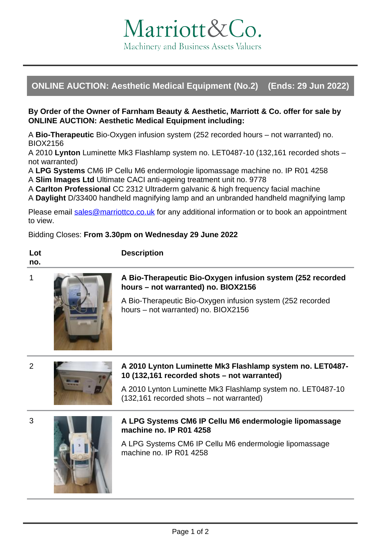# Marriott&Co. Machinery and Business Assets Valuers

# **ONLINE AUCTION: Aesthetic Medical Equipment (No.2) (Ends: 29 Jun 2022)**

#### **By Order of the Owner of Farnham Beauty & Aesthetic, Marriott & Co. offer for sale by ONLINE AUCTION: Aesthetic Medical Equipment including:**

A **Bio-Therapeutic** Bio-Oxygen infusion system (252 recorded hours – not warranted) no. BIOX2156

A 2010 **Lynton** Luminette Mk3 Flashlamp system no. LET0487-10 (132,161 recorded shots – not warranted)

A **LPG Systems** CM6 IP Cellu M6 endermologie lipomassage machine no. IP R01 4258 A **Slim Images Ltd** Ultimate CACI anti-ageing treatment unit no. 9778

A **Carlton Professional** CC 2312 Ultraderm galvanic & high frequency facial machine

A **Daylight** D/33400 handheld magnifying lamp and an unbranded handheld magnifying lamp

Please email [sales@marriottco.co.uk](mailto:sales@marriottco.co.uk) for any additional information or to book an appointment to view.

# Bidding Closes: **From 3.30pm on Wednesday 29 June 2022**

**Description**

**Lot no.**



# **1 A Bio-Therapeutic Bio-Oxygen infusion system (252 recorded hours – not warranted) no. BIOX2156**

A Bio-Therapeutic Bio-Oxygen infusion system (252 recorded hours – not warranted) no. BIOX2156



#### 2 **A 2010 Lynton Luminette Mk3 Flashlamp system no. LET0487- 10 (132,161 recorded shots – not warranted)**

A 2010 Lynton Luminette Mk3 Flashlamp system no. LET0487-10 (132,161 recorded shots – not warranted)



# 3 **A LPG Systems CM6 IP Cellu M6 endermologie lipomassage machine no. IP R01 4258**

A LPG Systems CM6 IP Cellu M6 endermologie lipomassage machine no. IP R01 4258